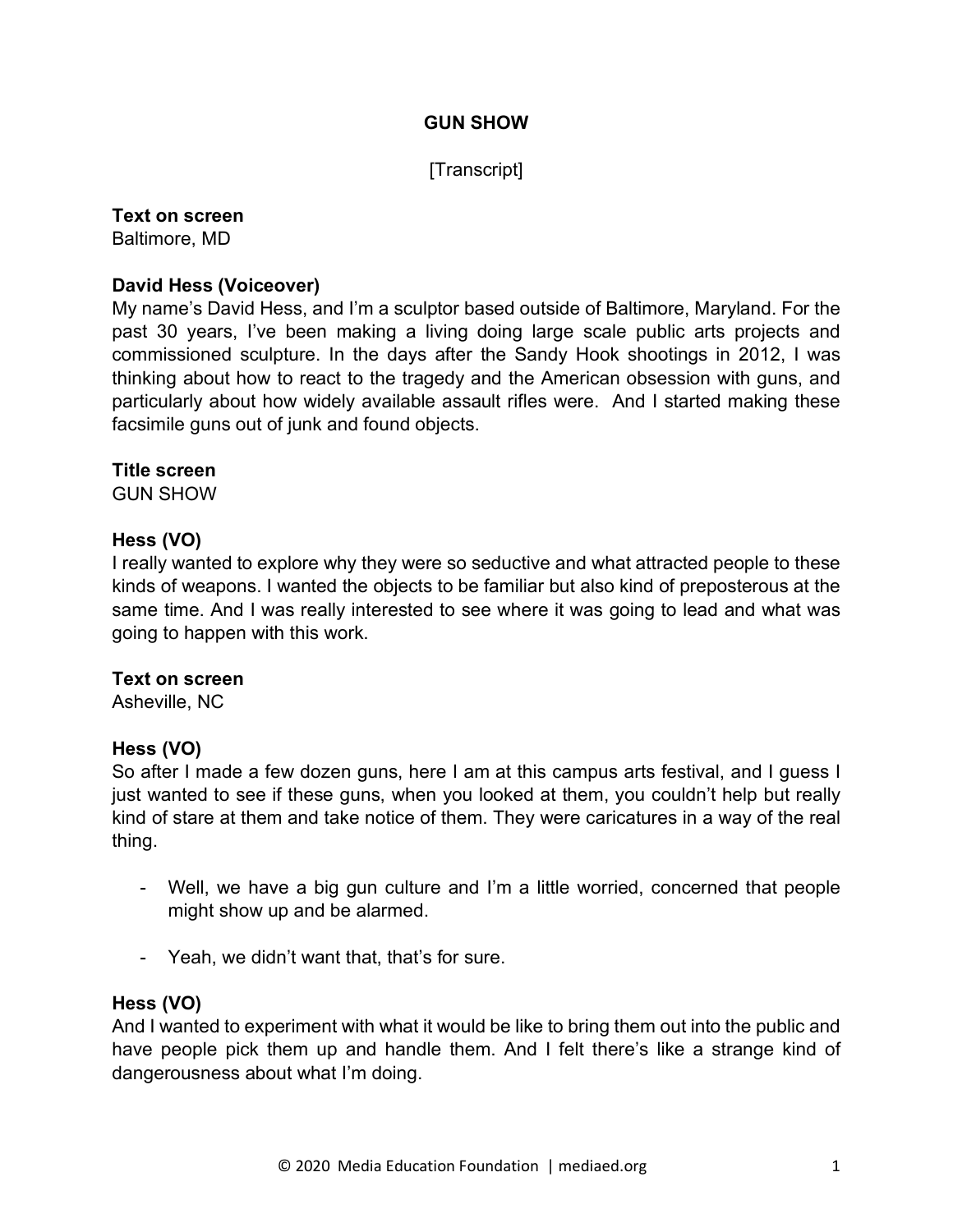## **GUN SHOW**

## [Transcript]

# **Text on screen**

Baltimore, MD

## **David Hess (Voiceover)**

My name's David Hess, and I'm a sculptor based outside of Baltimore, Maryland. For the past 30 years, I've been making a living doing large scale public arts projects and commissioned sculpture. In the days after the Sandy Hook shootings in 2012, I was thinking about how to react to the tragedy and the American obsession with guns, and particularly about how widely available assault rifles were. And I started making these facsimile guns out of junk and found objects.

### **Title screen**

GUN SHOW

## **Hess (VO)**

I really wanted to explore why they were so seductive and what attracted people to these kinds of weapons. I wanted the objects to be familiar but also kind of preposterous at the same time. And I was really interested to see where it was going to lead and what was going to happen with this work.

### **Text on screen**

Asheville, NC

## **Hess (VO)**

So after I made a few dozen guns, here I am at this campus arts festival, and I guess I just wanted to see if these guns, when you looked at them, you couldn't help but really kind of stare at them and take notice of them. They were caricatures in a way of the real thing.

- Well, we have a big gun culture and I'm a little worried, concerned that people might show up and be alarmed.
- Yeah, we didn't want that, that's for sure.

### **Hess (VO)**

And I wanted to experiment with what it would be like to bring them out into the public and have people pick them up and handle them. And I felt there's like a strange kind of dangerousness about what I'm doing.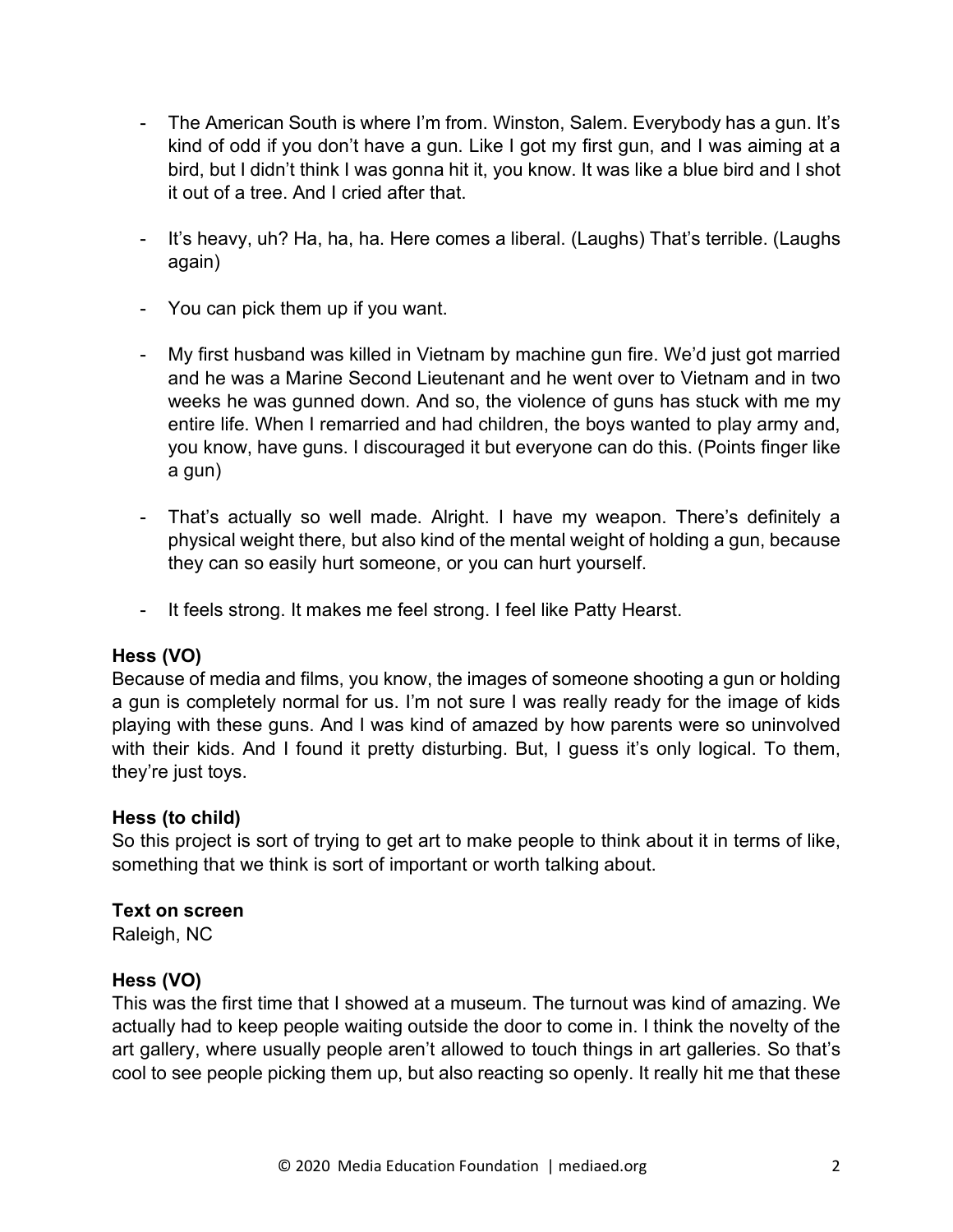- The American South is where I'm from. Winston, Salem. Everybody has a gun. It's kind of odd if you don't have a gun. Like I got my first gun, and I was aiming at a bird, but I didn't think I was gonna hit it, you know. It was like a blue bird and I shot it out of a tree. And I cried after that.
- It's heavy, uh? Ha, ha, ha. Here comes a liberal. (Laughs) That's terrible. (Laughs again)
- You can pick them up if you want.
- My first husband was killed in Vietnam by machine gun fire. We'd just got married and he was a Marine Second Lieutenant and he went over to Vietnam and in two weeks he was gunned down. And so, the violence of guns has stuck with me my entire life. When I remarried and had children, the boys wanted to play army and, you know, have guns. I discouraged it but everyone can do this. (Points finger like a gun)
- That's actually so well made. Alright. I have my weapon. There's definitely a physical weight there, but also kind of the mental weight of holding a gun, because they can so easily hurt someone, or you can hurt yourself.
- It feels strong. It makes me feel strong. I feel like Patty Hearst.

Because of media and films, you know, the images of someone shooting a gun or holding a gun is completely normal for us. I'm not sure I was really ready for the image of kids playing with these guns. And I was kind of amazed by how parents were so uninvolved with their kids. And I found it pretty disturbing. But, I guess it's only logical. To them, they're just toys.

### **Hess (to child)**

So this project is sort of trying to get art to make people to think about it in terms of like, something that we think is sort of important or worth talking about.

### **Text on screen**

Raleigh, NC

### **Hess (VO)**

This was the first time that I showed at a museum. The turnout was kind of amazing. We actually had to keep people waiting outside the door to come in. I think the novelty of the art gallery, where usually people aren't allowed to touch things in art galleries. So that's cool to see people picking them up, but also reacting so openly. It really hit me that these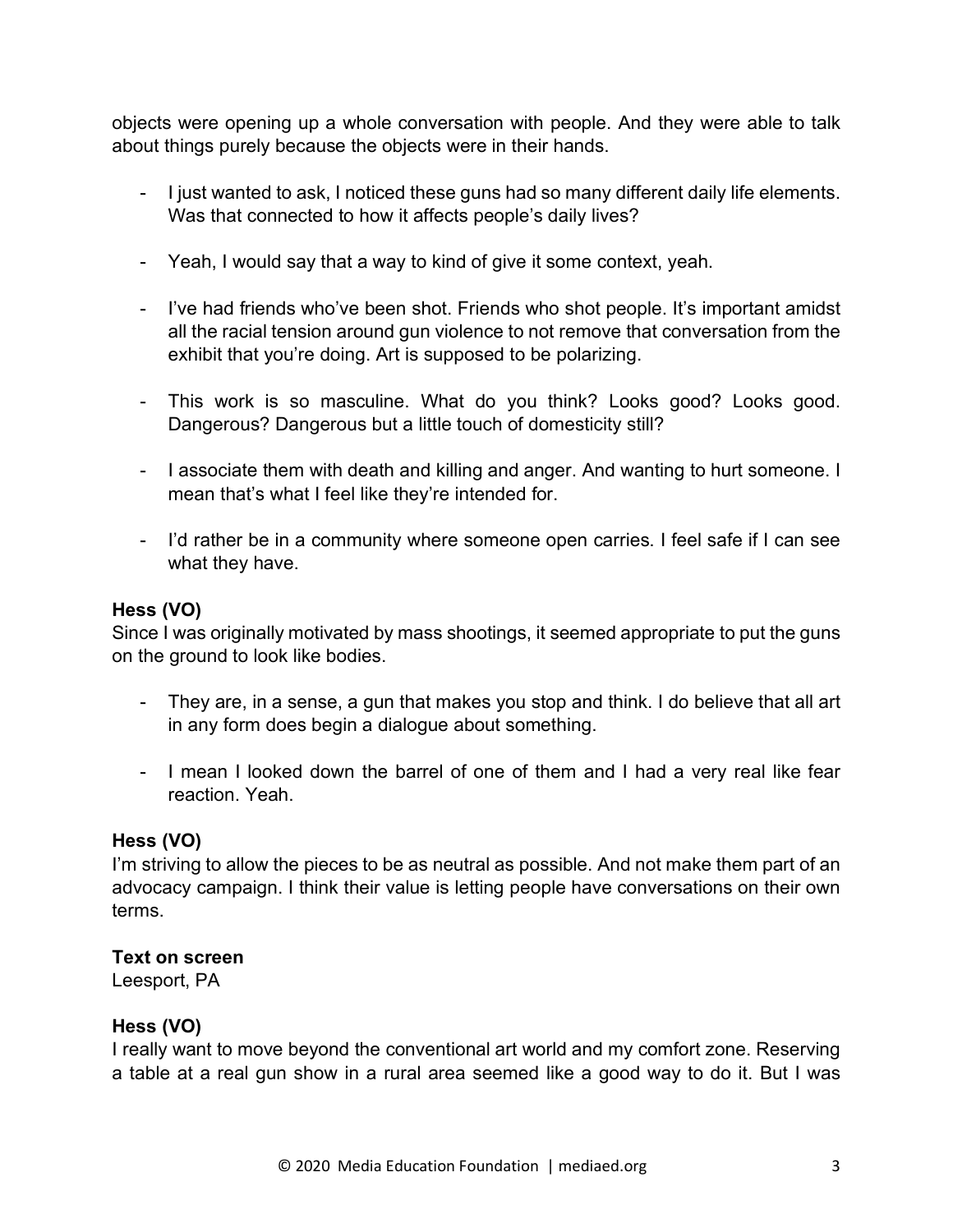objects were opening up a whole conversation with people. And they were able to talk about things purely because the objects were in their hands.

- I just wanted to ask, I noticed these guns had so many different daily life elements. Was that connected to how it affects people's daily lives?
- Yeah, I would say that a way to kind of give it some context, yeah.
- I've had friends who've been shot. Friends who shot people. It's important amidst all the racial tension around gun violence to not remove that conversation from the exhibit that you're doing. Art is supposed to be polarizing.
- This work is so masculine. What do you think? Looks good? Looks good. Dangerous? Dangerous but a little touch of domesticity still?
- I associate them with death and killing and anger. And wanting to hurt someone. I mean that's what I feel like they're intended for.
- I'd rather be in a community where someone open carries. I feel safe if I can see what they have.

## **Hess (VO)**

Since I was originally motivated by mass shootings, it seemed appropriate to put the guns on the ground to look like bodies.

- They are, in a sense, a gun that makes you stop and think. I do believe that all art in any form does begin a dialogue about something.
- I mean I looked down the barrel of one of them and I had a very real like fear reaction. Yeah.

### **Hess (VO)**

I'm striving to allow the pieces to be as neutral as possible. And not make them part of an advocacy campaign. I think their value is letting people have conversations on their own terms.

### **Text on screen**

Leesport, PA

### **Hess (VO)**

I really want to move beyond the conventional art world and my comfort zone. Reserving a table at a real gun show in a rural area seemed like a good way to do it. But I was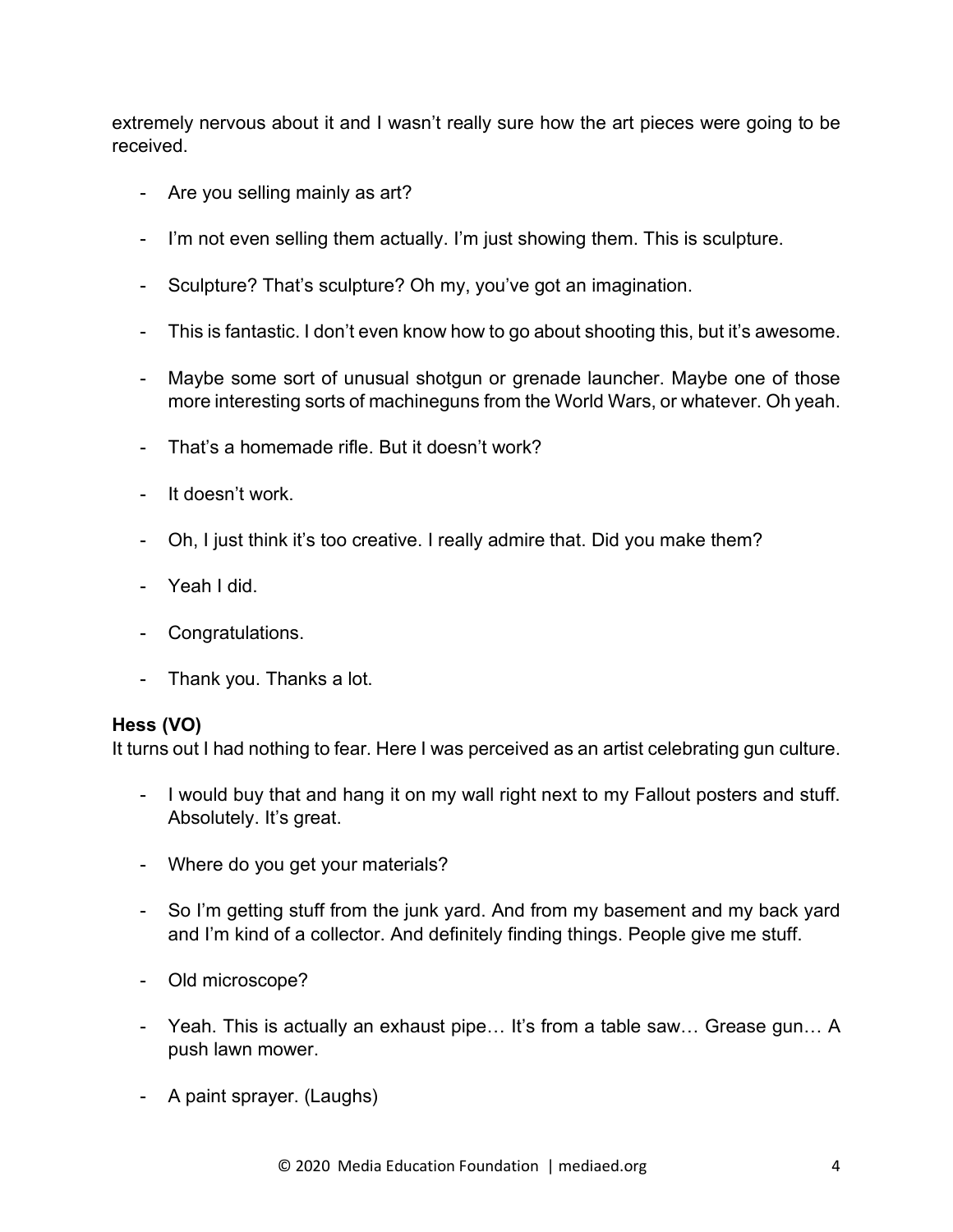extremely nervous about it and I wasn't really sure how the art pieces were going to be received.

- Are you selling mainly as art?
- I'm not even selling them actually. I'm just showing them. This is sculpture.
- Sculpture? That's sculpture? Oh my, you've got an imagination.
- This is fantastic. I don't even know how to go about shooting this, but it's awesome.
- Maybe some sort of unusual shotgun or grenade launcher. Maybe one of those more interesting sorts of machineguns from the World Wars, or whatever. Oh yeah.
- That's a homemade rifle. But it doesn't work?
- It doesn't work.
- Oh, I just think it's too creative. I really admire that. Did you make them?
- Yeah I did.
- Congratulations.
- Thank you. Thanks a lot.

### **Hess (VO)**

It turns out I had nothing to fear. Here I was perceived as an artist celebrating gun culture.

- I would buy that and hang it on my wall right next to my Fallout posters and stuff. Absolutely. It's great.
- Where do you get your materials?
- So I'm getting stuff from the junk yard. And from my basement and my back yard and I'm kind of a collector. And definitely finding things. People give me stuff.
- Old microscope?
- Yeah. This is actually an exhaust pipe… It's from a table saw… Grease gun… A push lawn mower.
- A paint sprayer. (Laughs)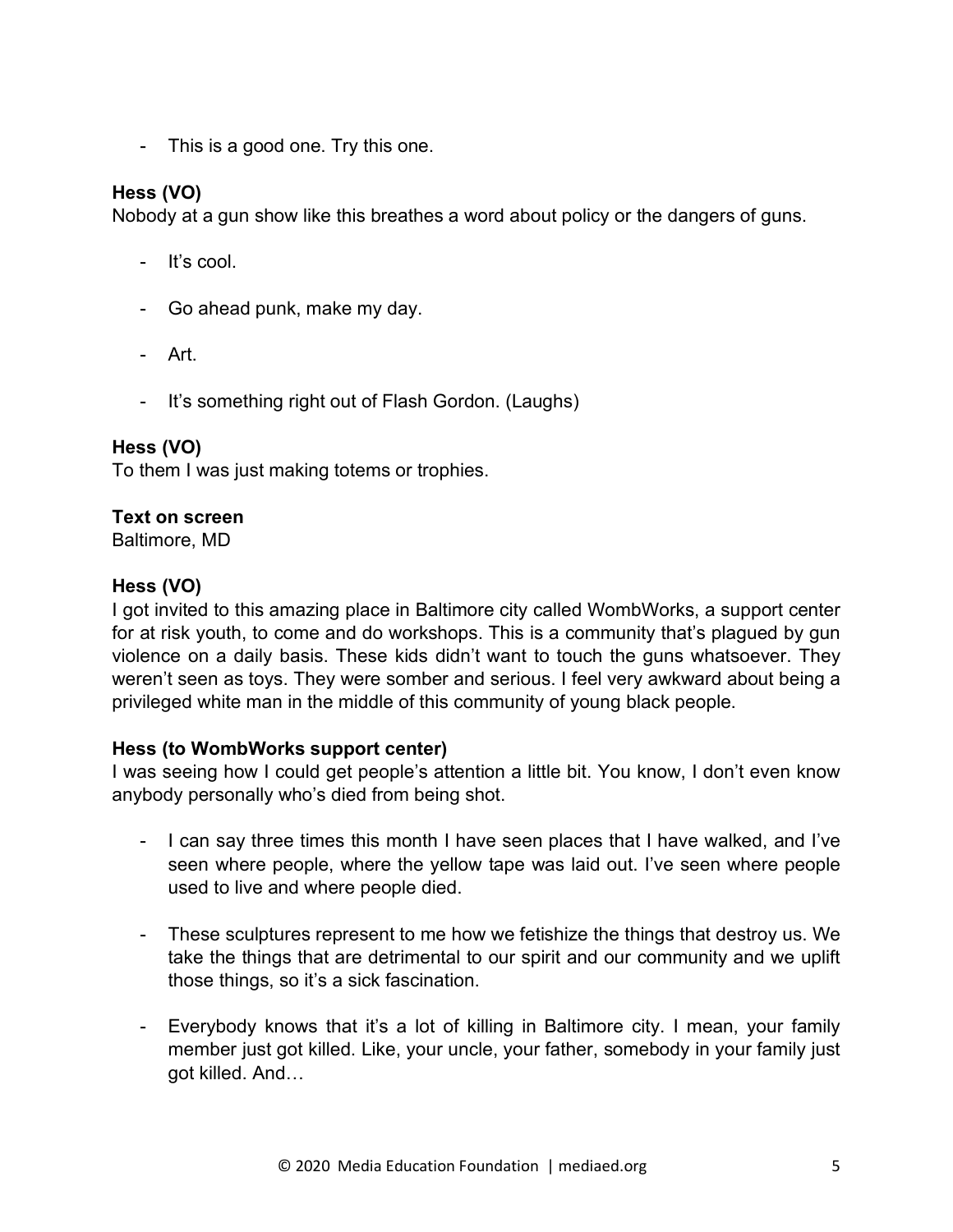- This is a good one. Try this one.

## **Hess (VO)**

Nobody at a gun show like this breathes a word about policy or the dangers of guns.

- It's cool.
- Go ahead punk, make my day.
- Art.
- It's something right out of Flash Gordon. (Laughs)

### **Hess (VO)**

To them I was just making totems or trophies.

## **Text on screen**

Baltimore, MD

## **Hess (VO)**

I got invited to this amazing place in Baltimore city called WombWorks, a support center for at risk youth, to come and do workshops. This is a community that's plagued by gun violence on a daily basis. These kids didn't want to touch the guns whatsoever. They weren't seen as toys. They were somber and serious. I feel very awkward about being a privileged white man in the middle of this community of young black people.

### **Hess (to WombWorks support center)**

I was seeing how I could get people's attention a little bit. You know, I don't even know anybody personally who's died from being shot.

- I can say three times this month I have seen places that I have walked, and I've seen where people, where the yellow tape was laid out. I've seen where people used to live and where people died.
- These sculptures represent to me how we fetishize the things that destroy us. We take the things that are detrimental to our spirit and our community and we uplift those things, so it's a sick fascination.
- Everybody knows that it's a lot of killing in Baltimore city. I mean, your family member just got killed. Like, your uncle, your father, somebody in your family just got killed. And…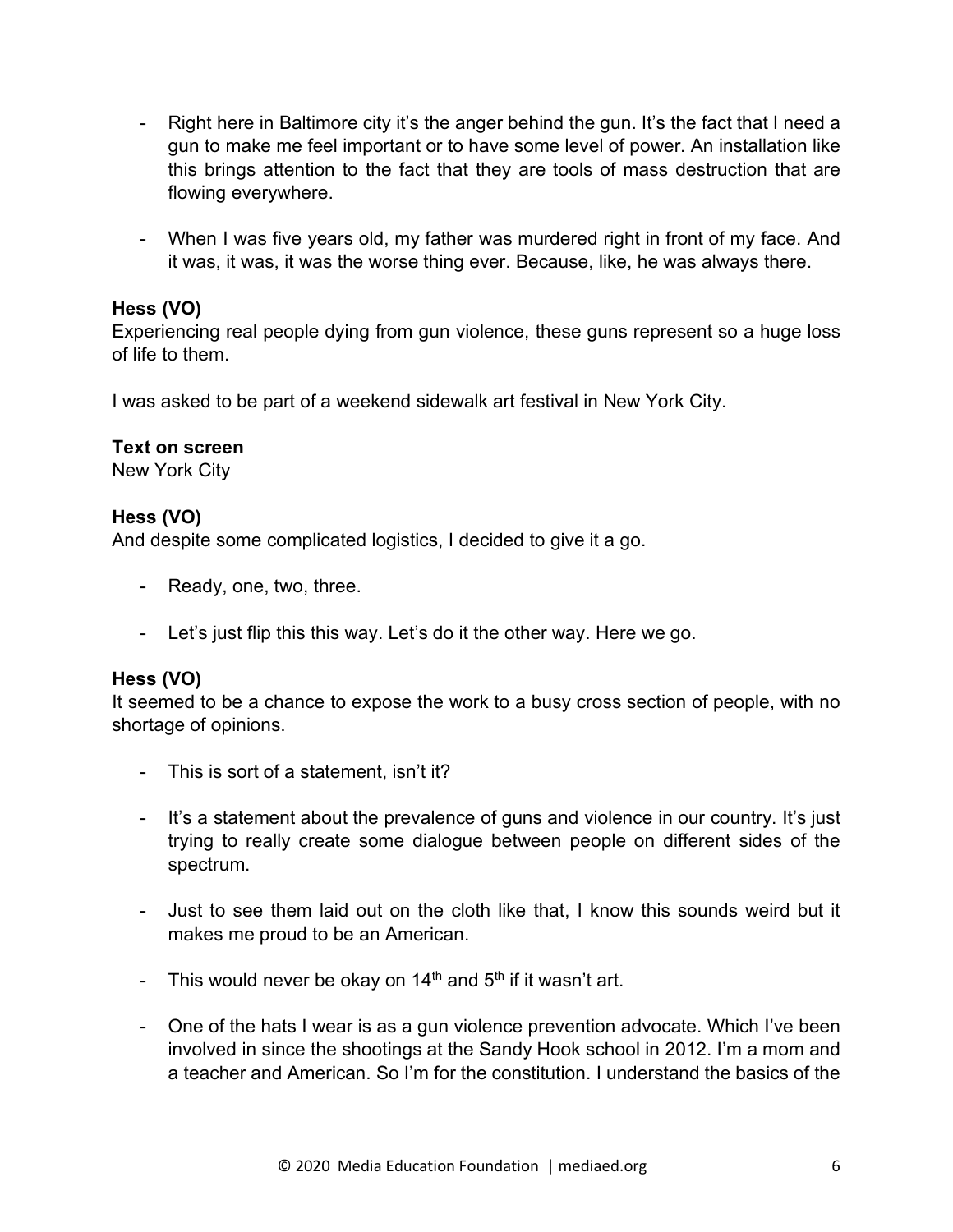- Right here in Baltimore city it's the anger behind the gun. It's the fact that I need a gun to make me feel important or to have some level of power. An installation like this brings attention to the fact that they are tools of mass destruction that are flowing everywhere.
- When I was five years old, my father was murdered right in front of my face. And it was, it was, it was the worse thing ever. Because, like, he was always there.

Experiencing real people dying from gun violence, these guns represent so a huge loss of life to them.

I was asked to be part of a weekend sidewalk art festival in New York City.

### **Text on screen**

New York City

## **Hess (VO)**

And despite some complicated logistics, I decided to give it a go.

- Ready, one, two, three.
- Let's just flip this this way. Let's do it the other way. Here we go.

### **Hess (VO)**

It seemed to be a chance to expose the work to a busy cross section of people, with no shortage of opinions.

- This is sort of a statement, isn't it?
- It's a statement about the prevalence of guns and violence in our country. It's just trying to really create some dialogue between people on different sides of the spectrum.
- Just to see them laid out on the cloth like that, I know this sounds weird but it makes me proud to be an American.
- This would never be okay on  $14<sup>th</sup>$  and  $5<sup>th</sup>$  if it wasn't art.
- One of the hats I wear is as a gun violence prevention advocate. Which I've been involved in since the shootings at the Sandy Hook school in 2012. I'm a mom and a teacher and American. So I'm for the constitution. I understand the basics of the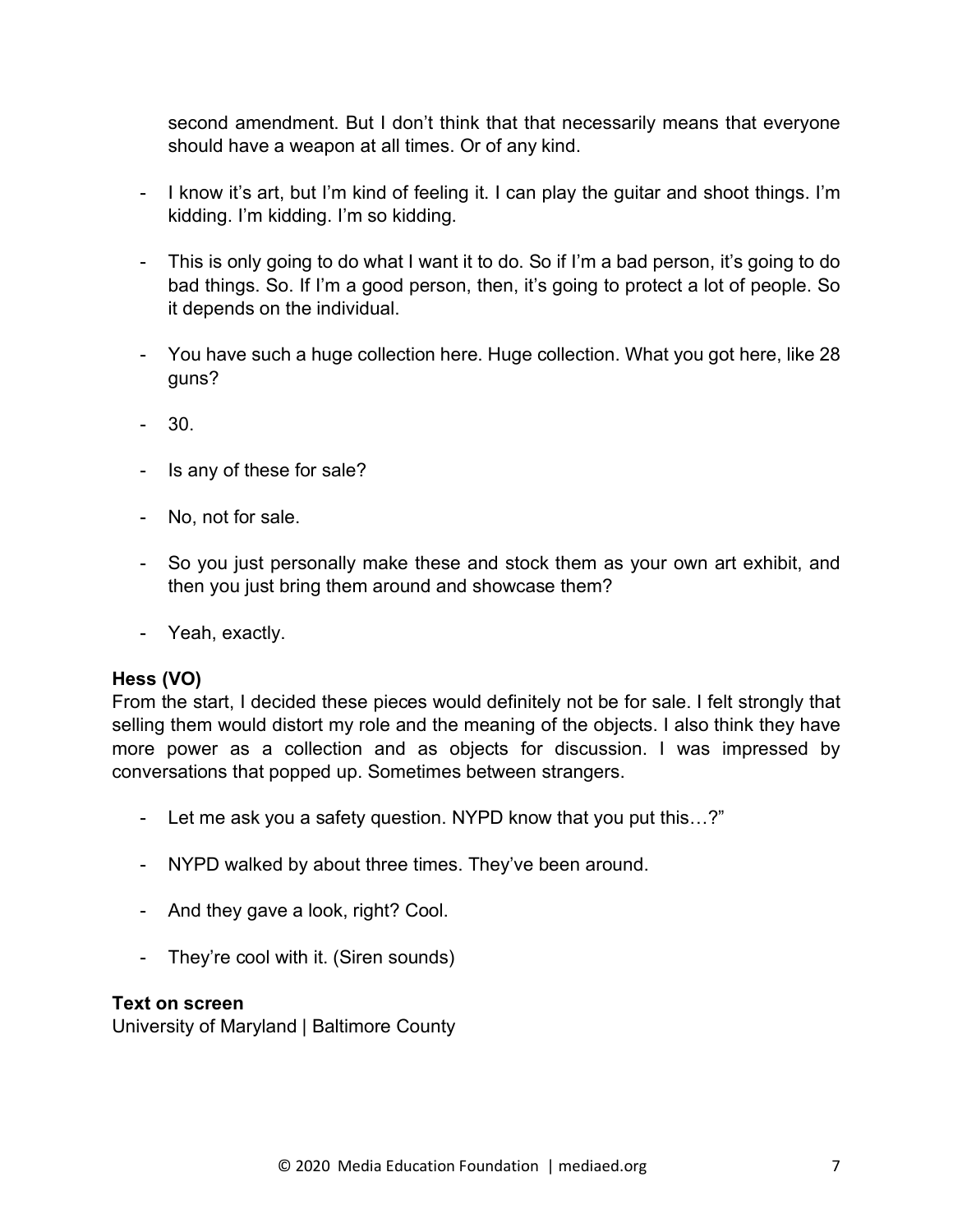second amendment. But I don't think that that necessarily means that everyone should have a weapon at all times. Or of any kind.

- I know it's art, but I'm kind of feeling it. I can play the guitar and shoot things. I'm kidding. I'm kidding. I'm so kidding.
- This is only going to do what I want it to do. So if I'm a bad person, it's going to do bad things. So. If I'm a good person, then, it's going to protect a lot of people. So it depends on the individual.
- You have such a huge collection here. Huge collection. What you got here, like 28 guns?
- 30.
- Is any of these for sale?
- No, not for sale.
- So you just personally make these and stock them as your own art exhibit, and then you just bring them around and showcase them?
- Yeah, exactly.

### **Hess (VO)**

From the start, I decided these pieces would definitely not be for sale. I felt strongly that selling them would distort my role and the meaning of the objects. I also think they have more power as a collection and as objects for discussion. I was impressed by conversations that popped up. Sometimes between strangers.

- Let me ask you a safety question. NYPD know that you put this…?"
- NYPD walked by about three times. They've been around.
- And they gave a look, right? Cool.
- They're cool with it. (Siren sounds)

#### **Text on screen**

University of Maryland | Baltimore County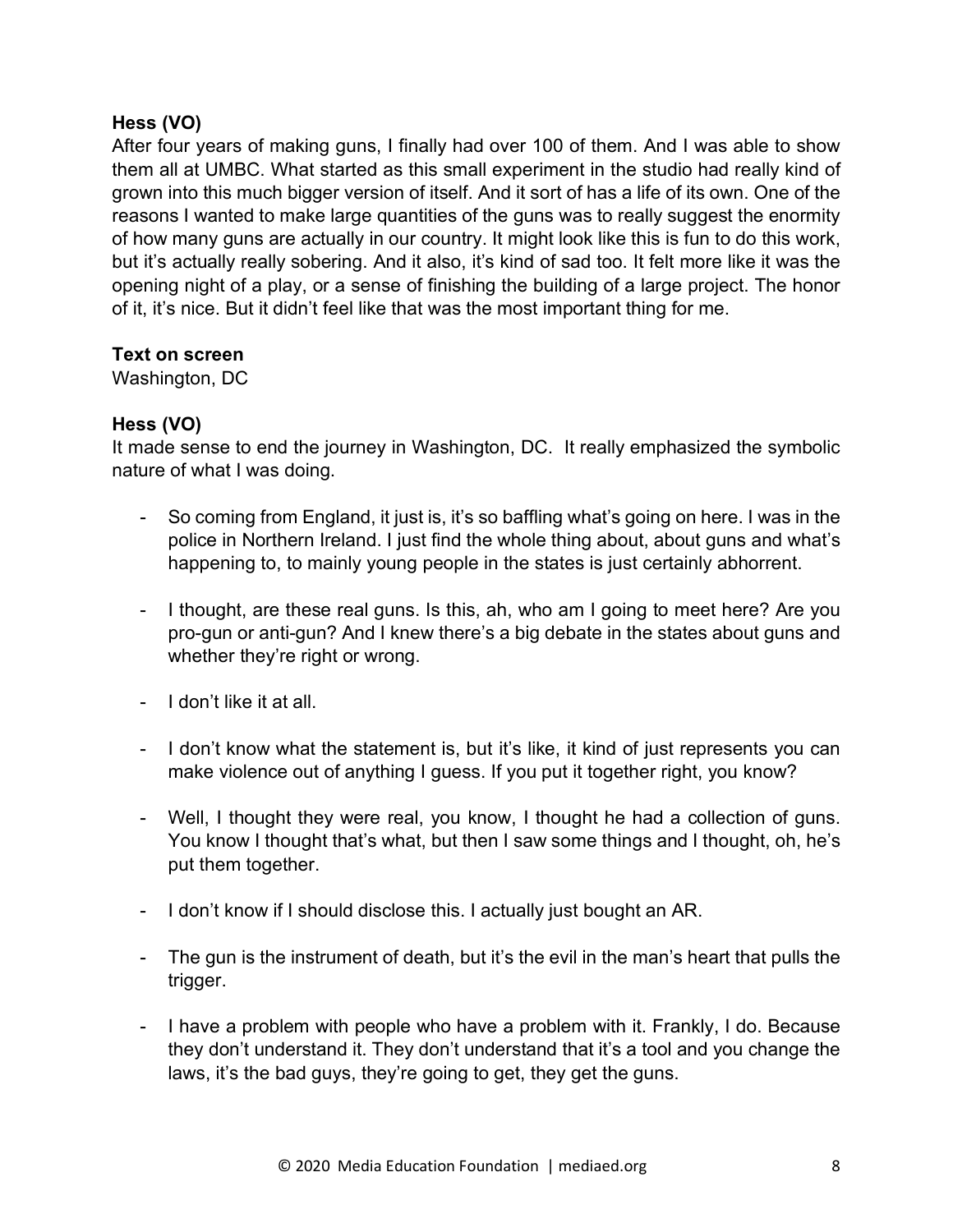After four years of making guns, I finally had over 100 of them. And I was able to show them all at UMBC. What started as this small experiment in the studio had really kind of grown into this much bigger version of itself. And it sort of has a life of its own. One of the reasons I wanted to make large quantities of the guns was to really suggest the enormity of how many guns are actually in our country. It might look like this is fun to do this work, but it's actually really sobering. And it also, it's kind of sad too. It felt more like it was the opening night of a play, or a sense of finishing the building of a large project. The honor of it, it's nice. But it didn't feel like that was the most important thing for me.

### **Text on screen**

Washington, DC

### **Hess (VO)**

It made sense to end the journey in Washington, DC. It really emphasized the symbolic nature of what I was doing.

- So coming from England, it just is, it's so baffling what's going on here. I was in the police in Northern Ireland. I just find the whole thing about, about guns and what's happening to, to mainly young people in the states is just certainly abhorrent.
- I thought, are these real guns. Is this, ah, who am I going to meet here? Are you pro-gun or anti-gun? And I knew there's a big debate in the states about guns and whether they're right or wrong.
- I don't like it at all.
- I don't know what the statement is, but it's like, it kind of just represents you can make violence out of anything I guess. If you put it together right, you know?
- Well, I thought they were real, you know, I thought he had a collection of guns. You know I thought that's what, but then I saw some things and I thought, oh, he's put them together.
- I don't know if I should disclose this. I actually just bought an AR.
- The gun is the instrument of death, but it's the evil in the man's heart that pulls the trigger.
- I have a problem with people who have a problem with it. Frankly, I do. Because they don't understand it. They don't understand that it's a tool and you change the laws, it's the bad guys, they're going to get, they get the guns.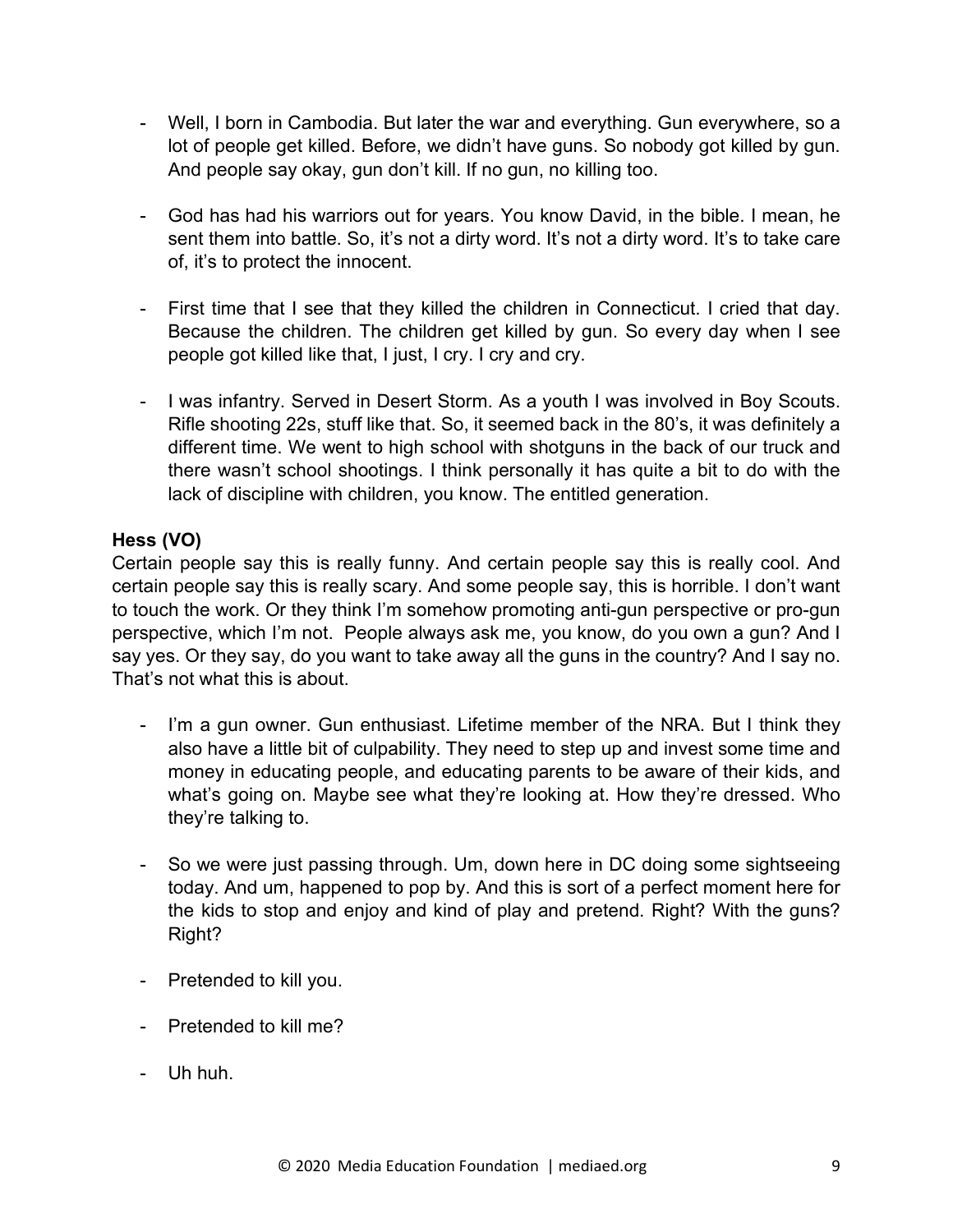- Well, I born in Cambodia. But later the war and everything. Gun everywhere, so a lot of people get killed. Before, we didn't have guns. So nobody got killed by gun. And people say okay, gun don't kill. If no gun, no killing too.
- God has had his warriors out for years. You know David, in the bible. I mean, he sent them into battle. So, it's not a dirty word. It's not a dirty word. It's to take care of, it's to protect the innocent.
- First time that I see that they killed the children in Connecticut. I cried that day. Because the children. The children get killed by gun. So every day when I see people got killed like that, I just, I cry. I cry and cry.
- I was infantry. Served in Desert Storm. As a youth I was involved in Boy Scouts. Rifle shooting 22s, stuff like that. So, it seemed back in the 80's, it was definitely a different time. We went to high school with shotguns in the back of our truck and there wasn't school shootings. I think personally it has quite a bit to do with the lack of discipline with children, you know. The entitled generation.

Certain people say this is really funny. And certain people say this is really cool. And certain people say this is really scary. And some people say, this is horrible. I don't want to touch the work. Or they think I'm somehow promoting anti-gun perspective or pro-gun perspective, which I'm not. People always ask me, you know, do you own a gun? And I say yes. Or they say, do you want to take away all the guns in the country? And I say no. That's not what this is about.

- I'm a gun owner. Gun enthusiast. Lifetime member of the NRA. But I think they also have a little bit of culpability. They need to step up and invest some time and money in educating people, and educating parents to be aware of their kids, and what's going on. Maybe see what they're looking at. How they're dressed. Who they're talking to.
- So we were just passing through. Um, down here in DC doing some sightseeing today. And um, happened to pop by. And this is sort of a perfect moment here for the kids to stop and enjoy and kind of play and pretend. Right? With the guns? Right?
- Pretended to kill you.
- Pretended to kill me?
- Uh huh.